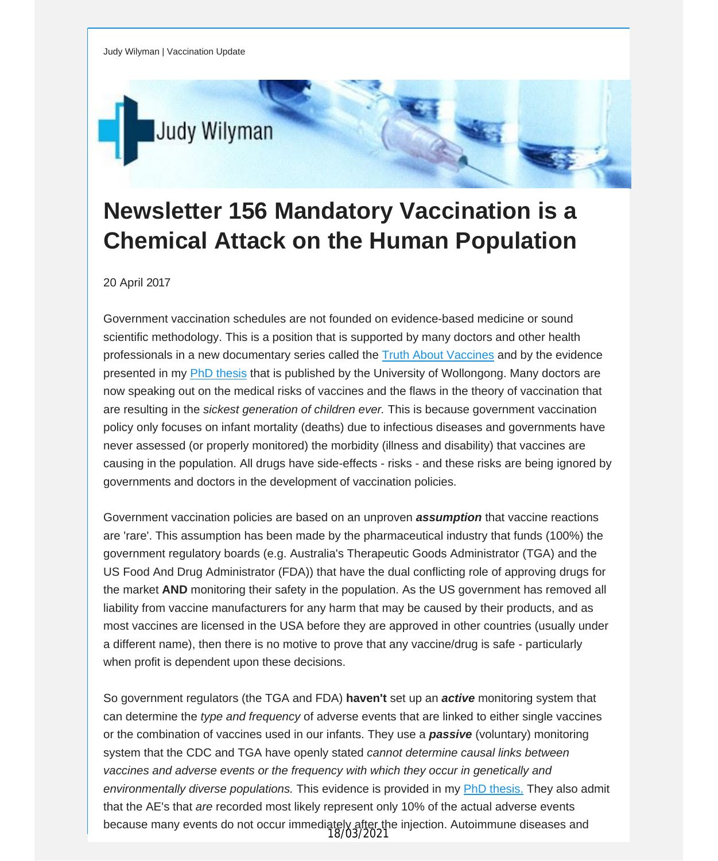

## **Newsletter 156 Mandatory Vaccination is a Chemical Attack on the Human Population**

20 April 2017

Government vaccination schedules are not founded on evidence-based medicine or sound scientific methodology. This is a position that is supported by many doctors and other health professionals in a new documentary series called the Truth About [Vaccines](http://vaccinationdecisions.us8.list-manage.com/track/click?u=f20605fde3732e41929f4a3f2&id=0572452e93&e=fec8337d3c) and by the evidence presented in my PhD [thesis](http://vaccinationdecisions.us8.list-manage.com/track/click?u=f20605fde3732e41929f4a3f2&id=48f8b178d1&e=fec8337d3c) that is published by the University of Wollongong. Many doctors are now speaking out on the medical risks of vaccines and the flaws in the theory of vaccination that are resulting in the *sickest generation of children ever.* This is because government vaccination policy only focuses on infant mortality (deaths) due to infectious diseases and governments have never assessed (or properly monitored) the morbidity (illness and disability) that vaccines are causing in the population. All drugs have side-effects - risks - and these risks are being ignored by governments and doctors in the development of vaccination policies.

Government vaccination policies are based on an unproven *assumption* that vaccine reactions are 'rare'. This assumption has been made by the pharmaceutical industry that funds (100%) the government regulatory boards (e.g. Australia's Therapeutic Goods Administrator (TGA) and the US Food And Drug Administrator (FDA)) that have the dual conflicting role of approving drugs for the market **AND** monitoring their safety in the population. As the US government has removed all liability from vaccine manufacturers for any harm that may be caused by their products, and as most vaccines are licensed in the USA before they are approved in other countries (usually under a different name), then there is no motive to prove that any vaccine/drug is safe - particularly when profit is dependent upon these decisions.

So government regulators (the TGA and FDA) **haven't** set up an *active* monitoring system that can determine the *type and frequency* of adverse events that are linked to either single vaccines or the combination of vaccines used in our infants. They use a *passive* (voluntary) monitoring system that the CDC and TGA have openly stated *cannot determine causal links between vaccines and adverse events or the frequency with which they occur in genetically and environmentally diverse populations.* This evidence is provided in my PhD [thesis.](http://vaccinationdecisions.us8.list-manage2.com/track/click?u=f20605fde3732e41929f4a3f2&id=72584810f1&e=fec8337d3c) They also admit that the AE's that *are* recorded most likely represent only 10% of the actual adverse events because many events do not occur immediately after the injection. Autoimmune diseases and 18/03/2021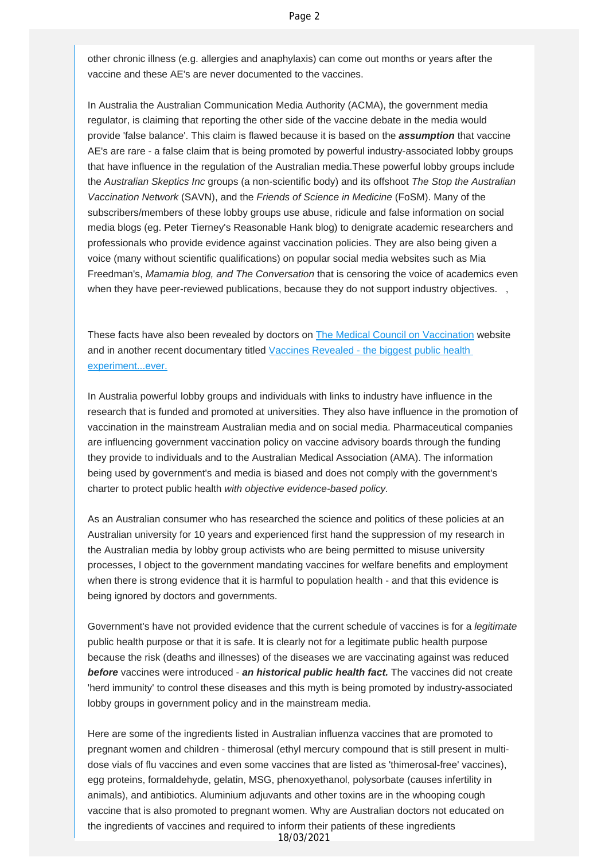other chronic illness (e.g. allergies and anaphylaxis) can come out months or years after the vaccine and these AE's are never documented to the vaccines.

In Australia the Australian Communication Media Authority (ACMA), the government media regulator, is claiming that reporting the other side of the vaccine debate in the media would provide 'false balance'. This claim is flawed because it is based on the *assumption* that vaccine AE's are rare - a false claim that is being promoted by powerful industry-associated lobby groups that have influence in the regulation of the Australian media.These powerful lobby groups include the *Australian Skeptics Inc* groups (a non-scientific body) and its offshoot *The Stop the Australian Vaccination Network* (SAVN), and the *Friends of Science in Medicine* (FoSM). Many of the subscribers/members of these lobby groups use abuse, ridicule and false information on social media blogs (eg. Peter Tierney's Reasonable Hank blog) to denigrate academic researchers and professionals who provide evidence against vaccination policies. They are also being given a voice (many without scientific qualifications) on popular social media websites such as Mia Freedman's, *Mamamia blog, and The Conversation* that is censoring the voice of academics even when they have peer-reviewed publications, because they do not support industry objectives. ,

These facts have also been revealed by doctors on **The Medical Council on Vaccination** website and in another recent documentary titled [Vaccines Revealed - the biggest public health](http://vaccinationdecisions.us8.list-manage.com/track/click?u=f20605fde3732e41929f4a3f2&id=d890189ae0&e=fec8337d3c) [experiment...ever.](http://vaccinationdecisions.us8.list-manage.com/track/click?u=f20605fde3732e41929f4a3f2&id=d890189ae0&e=fec8337d3c)

In Australia powerful lobby groups and individuals with links to industry have influence in the research that is funded and promoted at universities. They also have influence in the promotion of vaccination in the mainstream Australian media and on social media. Pharmaceutical companies are influencing government vaccination policy on vaccine advisory boards through the funding they provide to individuals and to the Australian Medical Association (AMA). The information being used by government's and media is biased and does not comply with the government's charter to protect public health *with objective evidence-based policy.*

As an Australian consumer who has researched the science and politics of these policies at an Australian university for 10 years and experienced first hand the suppression of my research in the Australian media by lobby group activists who are being permitted to misuse university processes, I object to the government mandating vaccines for welfare benefits and employment when there is strong evidence that it is harmful to population health - and that this evidence is being ignored by doctors and governments.

Government's have not provided evidence that the current schedule of vaccines is for a *legitimate* public health purpose or that it is safe. It is clearly not for a legitimate public health purpose because the risk (deaths and illnesses) of the diseases we are vaccinating against was reduced *before* vaccines were introduced - *an historical public health fact.* The vaccines did not create 'herd immunity' to control these diseases and this myth is being promoted by industry-associated lobby groups in government policy and in the mainstream media.

Here are some of the ingredients listed in Australian influenza vaccines that are promoted to pregnant women and children - thimerosal (ethyl mercury compound that is still present in multidose vials of flu vaccines and even some vaccines that are listed as 'thimerosal-free' vaccines), egg proteins, formaldehyde, gelatin, MSG, phenoxyethanol, polysorbate (causes infertility in animals), and antibiotics. Aluminium adjuvants and other toxins are in the whooping cough vaccine that is also promoted to pregnant women. Why are Australian doctors not educated on the ingredients of vaccines and required to inform their patients of these ingredients

18/03/2021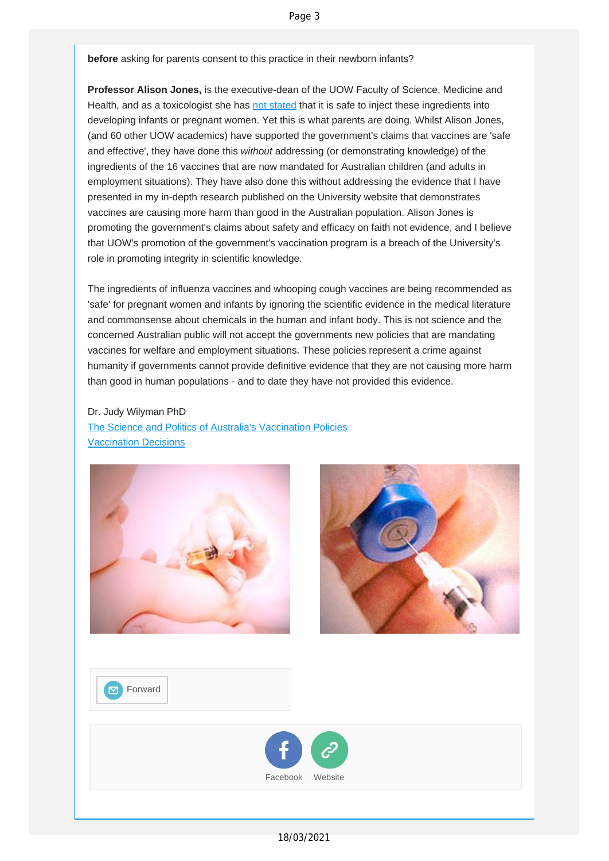**before** asking for parents consent to this practice in their newborn infants?

**Professor Alison Jones,** is the executive-dean of the UOW Faculty of Science, Medicine and Health, and as a toxicologist she has [not stated](http://vaccinationdecisions.us8.list-manage.com/track/click?u=f20605fde3732e41929f4a3f2&id=31b2e2bb92&e=fec8337d3c) that it is safe to inject these ingredients into developing infants or pregnant women. Yet this is what parents are doing. Whilst Alison Jones, (and 60 other UOW academics) have supported the government's claims that vaccines are 'safe and effective', they have done this *without* addressing (or demonstrating knowledge) of the ingredients of the 16 vaccines that are now mandated for Australian children (and adults in employment situations). They have also done this without addressing the evidence that I have presented in my in-depth research published on the University website that demonstrates vaccines are causing more harm than good in the Australian population. Alison Jones is promoting the government's claims about safety and efficacy on faith not evidence, and I believe that UOW's promotion of the government's vaccination program is a breach of the University's role in promoting integrity in scientific knowledge.

The ingredients of influenza vaccines and whooping cough vaccines are being recommended as 'safe' for pregnant women and infants by ignoring the scientific evidence in the medical literature and commonsense about chemicals in the human and infant body. This is not science and the concerned Australian public will not accept the governments new policies that are mandating vaccines for welfare and employment situations. These policies represent a crime against humanity if governments cannot provide definitive evidence that they are not causing more harm than good in human populations - and to date they have not provided this evidence.

Dr. Judy Wilyman PhD [The Science and Politics of Australia's Vaccination Policies](http://vaccinationdecisions.us8.list-manage.com/track/click?u=f20605fde3732e41929f4a3f2&id=2a1ffe89b0&e=fec8337d3c) [Vaccination Decisions](http://vaccinationdecisions.us8.list-manage2.com/track/click?u=f20605fde3732e41929f4a3f2&id=ba8ff9de86&e=fec8337d3c)





**Ex** [Forward](http://us8.forward-to-friend.com/forward?u=f20605fde3732e41929f4a3f2&id=f12a93b4e3&e=fec8337d3c)